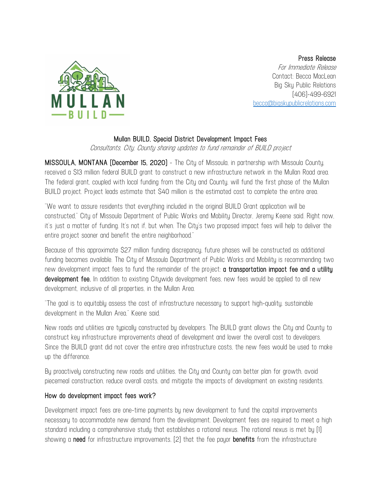

 Press Release For Immediate Release Contact: Becca MacLean Big Sky Public Relations (406)-499-6921 becca@bigskypublicrelations.com

## Mullan BUILD, Special District Development Impact Fees

Consultants, City, County sharing updates to fund remainder of BUILD project

MISSOULA, MONTANA [December 15, 2020] - The City of Missoula, in partnership with Missoula County, received a \$13 million federal BUILD grant to construct a new infrastructure network in the Mullan Road area. The federal grant, coupled with local funding from the City and County, will fund the first phase of the Mullan BUILD project. Project leads estimate that \$40 million is the estimated cost to complete the entire area.

"We want to assure residents that everything included in the original BUILD Grant application will be constructed," City of Missoula Department of Public Works and Mobility Director, Jeremy Keene said. Right now, it's just a matter of funding. It's not if, but when. The City's two proposed impact fees will help to deliver the entire project sooner and benefit the entire neighborhood."

Because of this approximate \$27 million funding discrepancy, future phases will be constructed as additional funding becomes available. The City of Missoula Department of Public Works and Mobility is recommending two new development impact fees to fund the remainder of the project: **a transportation impact fee and a utility** development fee. In addition to existing Citywide development fees, new fees would be applied to all new development, inclusive of all properties, in the Mullan Area.

"The goal is to equitably assess the cost of infrastructure necessary to support high-quality, sustainable development in the Mullan Area," Keene said.

New roads and utilities are typically constructed by developers. The BUILD grant allows the City and County to construct key infrastructure improvements ahead of development and lower the overall cost to developers. Since the BUILD grant did not cover the entire area infrastructure costs, the new fees would be used to make up the difference.

By proactively constructing new roads and utilities, the City and County can better plan for growth, avoid piecemeal construction, reduce overall costs, and mitigate the impacts of development on existing residents.

## How do development impact fees work?

Development impact fees are one-time payments by new development to fund the capital improvements necessary to accommodate new demand from the development. Development fees are required to meet a high standard including a comprehensive study that establishes a rational nexus. The rational nexus is met by (1) showing a need for infrastructure improvements, [2] that the fee payor benefits from the infrastructure